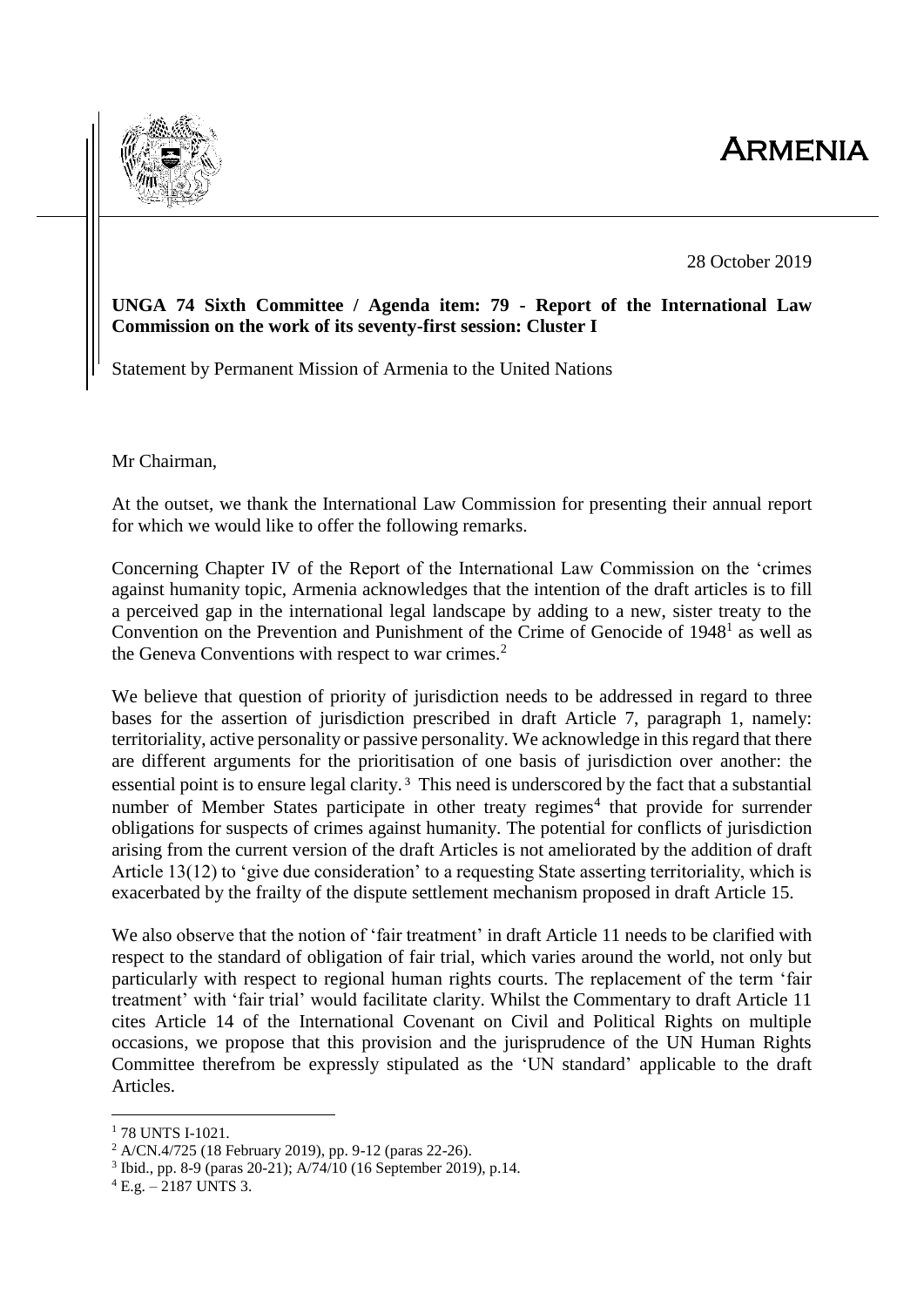## **ARMENIA**



28 October 2019

## **UNGA 74 Sixth Committee / Agenda item: 79 - Report of the International Law Commission on the work of its seventy-first session: Cluster I**

Statement by Permanent Mission of Armenia to the United Nations

Mr Chairman,

At the outset, we thank the International Law Commission for presenting their annual report for which we would like to offer the following remarks.

Concerning Chapter IV of the Report of the International Law Commission on the 'crimes against humanity topic, Armenia acknowledges that the intention of the draft articles is to fill a perceived gap in the international legal landscape by adding to a new, sister treaty to the Convention on the Prevention and Punishment of the Crime of Genocide of  $1948<sup>1</sup>$  as well as the Geneva Conventions with respect to war crimes.<sup>2</sup>

We believe that question of priority of jurisdiction needs to be addressed in regard to three bases for the assertion of jurisdiction prescribed in draft Article 7, paragraph 1, namely: territoriality, active personality or passive personality. We acknowledge in this regard that there are different arguments for the prioritisation of one basis of jurisdiction over another: the essential point is to ensure legal clarity. <sup>3</sup> This need is underscored by the fact that a substantial number of Member States participate in other treaty regimes<sup>4</sup> that provide for surrender obligations for suspects of crimes against humanity. The potential for conflicts of jurisdiction arising from the current version of the draft Articles is not ameliorated by the addition of draft Article 13(12) to 'give due consideration' to a requesting State asserting territoriality, which is exacerbated by the frailty of the dispute settlement mechanism proposed in draft Article 15.

We also observe that the notion of 'fair treatment' in draft Article 11 needs to be clarified with respect to the standard of obligation of fair trial, which varies around the world, not only but particularly with respect to regional human rights courts. The replacement of the term 'fair treatment' with 'fair trial' would facilitate clarity. Whilst the Commentary to draft Article 11 cites Article 14 of the International Covenant on Civil and Political Rights on multiple occasions, we propose that this provision and the jurisprudence of the UN Human Rights Committee therefrom be expressly stipulated as the 'UN standard' applicable to the draft Articles.

1

<sup>1</sup> 78 UNTS I-1021.

<sup>2</sup> A/CN.4/725 (18 February 2019), pp. 9-12 (paras 22-26).

<sup>3</sup> Ibid., pp. 8-9 (paras 20-21); A/74/10 (16 September 2019), p.14.

 $4$  E.g.  $-$  2187 UNTS 3.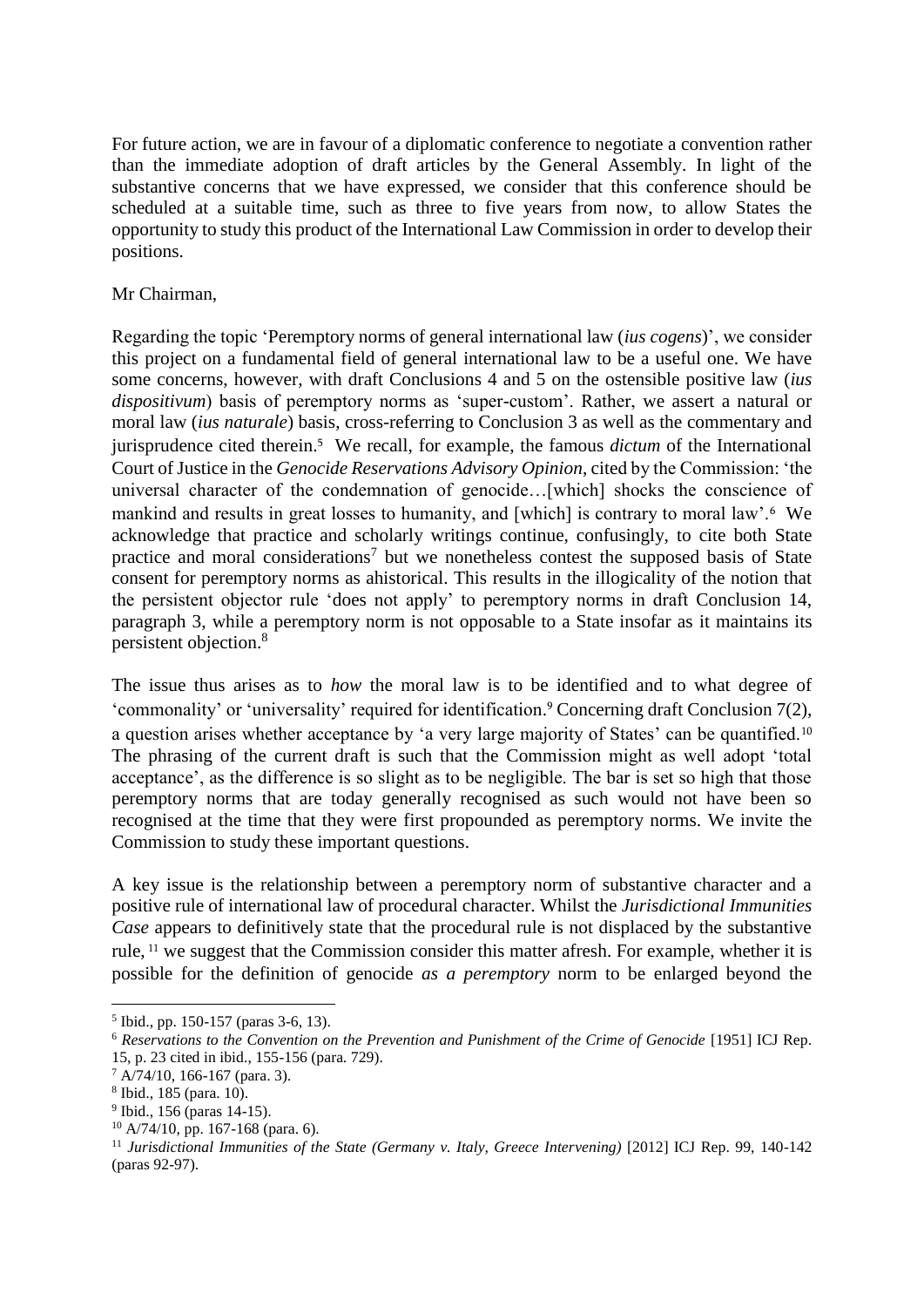For future action, we are in favour of a diplomatic conference to negotiate a convention rather than the immediate adoption of draft articles by the General Assembly. In light of the substantive concerns that we have expressed, we consider that this conference should be scheduled at a suitable time, such as three to five years from now, to allow States the opportunity to study this product of the International Law Commission in order to develop their positions.

## Mr Chairman,

Regarding the topic 'Peremptory norms of general international law (*ius cogens*)', we consider this project on a fundamental field of general international law to be a useful one. We have some concerns, however, with draft Conclusions 4 and 5 on the ostensible positive law (*ius dispositivum*) basis of peremptory norms as 'super-custom'. Rather, we assert a natural or moral law (*ius naturale*) basis, cross-referring to Conclusion 3 as well as the commentary and jurisprudence cited therein. <sup>5</sup> We recall, for example, the famous *dictum* of the International Court of Justice in the *Genocide Reservations Advisory Opinion*, cited by the Commission: 'the universal character of the condemnation of genocide…[which] shocks the conscience of mankind and results in great losses to humanity, and [which] is contrary to moral law'.<sup>6</sup> We acknowledge that practice and scholarly writings continue, confusingly, to cite both State practice and moral considerations<sup>7</sup> but we nonetheless contest the supposed basis of State consent for peremptory norms as ahistorical. This results in the illogicality of the notion that the persistent objector rule 'does not apply' to peremptory norms in draft Conclusion 14, paragraph 3, while a peremptory norm is not opposable to a State insofar as it maintains its persistent objection. 8

The issue thus arises as to *how* the moral law is to be identified and to what degree of 'commonality' or 'universality' required for identification. <sup>9</sup> Concerning draft Conclusion 7(2), a question arises whether acceptance by 'a very large majority of States' can be quantified.<sup>10</sup> The phrasing of the current draft is such that the Commission might as well adopt 'total acceptance', as the difference is so slight as to be negligible. The bar is set so high that those peremptory norms that are today generally recognised as such would not have been so recognised at the time that they were first propounded as peremptory norms. We invite the Commission to study these important questions.

A key issue is the relationship between a peremptory norm of substantive character and a positive rule of international law of procedural character. Whilst the *Jurisdictional Immunities Case* appears to definitively state that the procedural rule is not displaced by the substantive rule, <sup>11</sup> we suggest that the Commission consider this matter afresh. For example, whether it is possible for the definition of genocide *as a peremptory* norm to be enlarged beyond the

1

<sup>5</sup> Ibid., pp. 150-157 (paras 3-6, 13).

<sup>6</sup> *Reservations to the Convention on the Prevention and Punishment of the Crime of Genocide* [1951] ICJ Rep. 15, p. 23 cited in ibid., 155-156 (para. 729).

 $7$  A/74/10, 166-167 (para. 3).

<sup>8</sup> Ibid., 185 (para. 10).

<sup>&</sup>lt;sup>9</sup> Ibid., 156 (paras 14-15).

 $10$  A/74/10, pp. 167-168 (para. 6).

<sup>11</sup> *Jurisdictional Immunities of the State (Germany v. Italy, Greece Intervening)* [2012] ICJ Rep. 99, 140-142 (paras 92-97).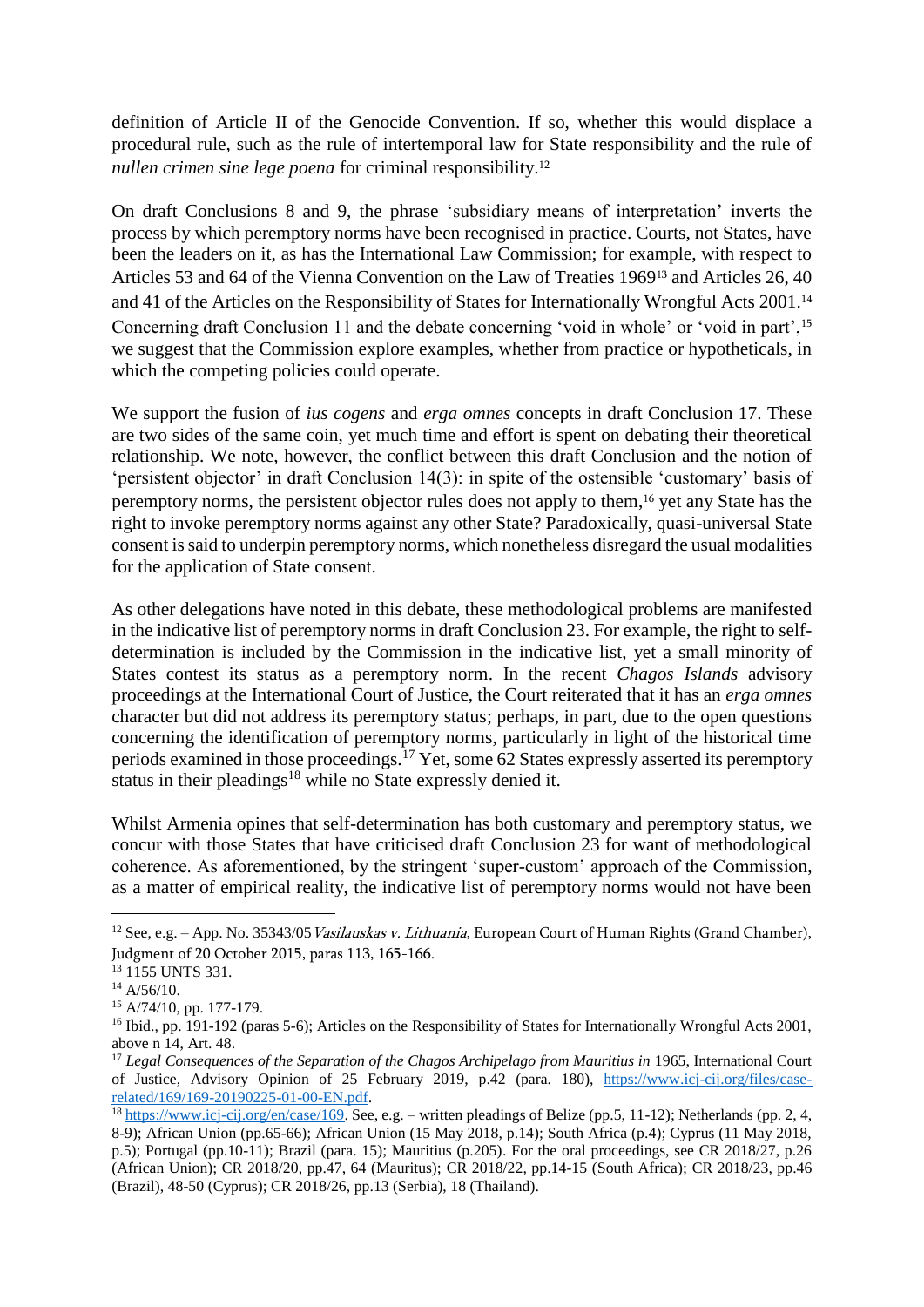definition of Article II of the Genocide Convention. If so, whether this would displace a procedural rule, such as the rule of intertemporal law for State responsibility and the rule of *nullen crimen sine lege poena* for criminal responsibility. 12

<span id="page-2-0"></span>On draft Conclusions 8 and 9, the phrase 'subsidiary means of interpretation' inverts the process by which peremptory norms have been recognised in practice. Courts, not States, have been the leaders on it, as has the International Law Commission; for example, with respect to Articles 53 and 64 of the Vienna Convention on the Law of Treaties 1969<sup>13</sup> and Articles 26, 40 and 41 of the Articles on the Responsibility of States for Internationally Wrongful Acts 2001.<sup>14</sup> Concerning draft Conclusion 11 and the debate concerning 'void in whole' or 'void in part',<sup>15</sup> we suggest that the Commission explore examples, whether from practice or hypotheticals, in which the competing policies could operate.

We support the fusion of *ius cogens* and *erga omnes* concepts in draft Conclusion 17. These are two sides of the same coin, yet much time and effort is spent on debating their theoretical relationship. We note, however, the conflict between this draft Conclusion and the notion of 'persistent objector' in draft Conclusion 14(3): in spite of the ostensible 'customary' basis of peremptory norms, the persistent objector rules does not apply to them, <sup>16</sup> yet any State has the right to invoke peremptory norms against any other State? Paradoxically, quasi-universal State consent is said to underpin peremptory norms, which nonetheless disregard the usual modalities for the application of State consent.

As other delegations have noted in this debate, these methodological problems are manifested in the indicative list of peremptory norms in draft Conclusion 23. For example, the right to selfdetermination is included by the Commission in the indicative list, yet a small minority of States contest its status as a peremptory norm. In the recent *Chagos Islands* advisory proceedings at the International Court of Justice, the Court reiterated that it has an *erga omnes*  character but did not address its peremptory status; perhaps, in part, due to the open questions concerning the identification of peremptory norms, particularly in light of the historical time periods examined in those proceedings.<sup>17</sup> Yet, some 62 States expressly asserted its peremptory status in their pleadings<sup>18</sup> while no State expressly denied it.

Whilst Armenia opines that self-determination has both customary and peremptory status, we concur with those States that have criticised draft Conclusion 23 for want of methodological coherence. As aforementioned, by the stringent 'super-custom' approach of the Commission, as a matter of empirical reality, the indicative list of peremptory norms would not have been

1

<sup>&</sup>lt;sup>12</sup> See, e.g. – App. No. 35343/05 *Vasilauskas v. Lithuania*, European Court of Human Rights (Grand Chamber), Judgment of 20 October 2015, paras 113, 165-166.

<sup>&</sup>lt;sup>13</sup> 1155 UNTS 331.

 $14$  A/56/10.

<sup>15</sup> A/74/10, pp. 177-179.

<sup>16</sup> Ibid., pp. 191-192 (paras 5-6); Articles on the Responsibility of States for Internationally Wrongful Acts 2001, above n [14,](#page-2-0) Art. 48.

<sup>&</sup>lt;sup>17</sup> *Legal Consequences of the Separation of the Chagos Archipelago from Mauritius in* 1965, International Court of Justice, Advisory Opinion of 25 February 2019, p.42 (para. 180), [https://www.icj-cij.org/files/case](https://www.icj-cij.org/files/case-related/169/169-20190225-01-00-EN.pdf)[related/169/169-20190225-01-00-EN.pdf.](https://www.icj-cij.org/files/case-related/169/169-20190225-01-00-EN.pdf)

 $\frac{18 \text{ https://www.ici-ci.org/en/case/169.}$  See, e.g. – written pleadings of Belize (pp.5, 11-12); Netherlands (pp. 2, 4, 8-9); African Union (pp.65-66); African Union (15 May 2018, p.14); South Africa (p.4); Cyprus (11 May 2018, p.5); Portugal (pp.10-11); Brazil (para. 15); Mauritius (p.205). For the oral proceedings, see CR 2018/27, p.26 (African Union); CR 2018/20, pp.47, 64 (Mauritus); CR 2018/22, pp.14-15 (South Africa); CR 2018/23, pp.46 (Brazil), 48-50 (Cyprus); CR 2018/26, pp.13 (Serbia), 18 (Thailand).